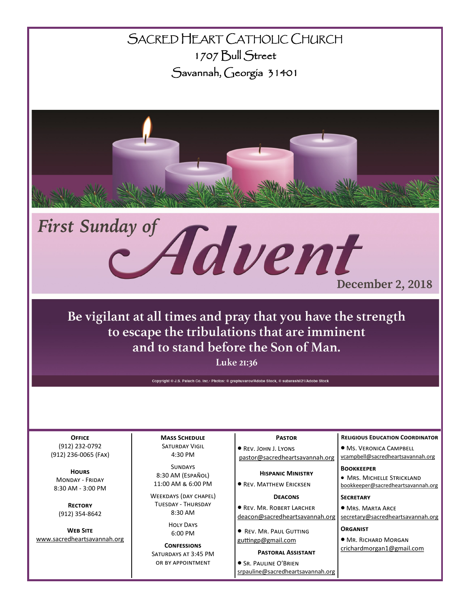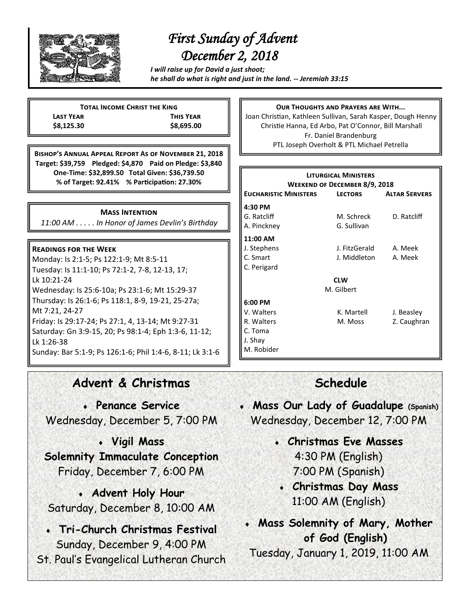

# *First Sunday of Advent December 2, 2018*

*I will raise up for David a just shoot; he shall do what is right and just in the land. -- Jeremiah 33:15*

**Total Income Christ the King Last Year This Year \$8,125.30 \$8,695.00**

**Bishop's Annual Appeal Report As of November 21, 2018 Target: \$39,759 Pledged: \$4,870 Paid on Pledge: \$3,840 One-Time: \$32,899.50 Total Given: \$36,739.50 % of Target: 92.41% % Participation: 27.30%**

#### **Mass Intention**

*11:00 AM . . . . . In Honor of James Devlin's Birthday*

#### **Readings for the Week**

Monday: Is 2:1-5; Ps 122:1-9; Mt 8:5-11 Tuesday: Is 11:1-10; Ps 72:1-2, 7-8, 12-13, 17; Lk 10:21-24 Wednesday: Is 25:6-10a; Ps 23:1-6; Mt 15:29-37 Thursday: Is 26:1-6; Ps 118:1, 8-9, 19-21, 25-27a; Mt 7:21, 24-27 Friday: Is 29:17-24; Ps 27:1, 4, 13-14; Mt 9:27-31 Saturday: Gn 3:9-15, 20; Ps 98:1-4; Eph 1:3-6, 11-12; Lk 1:26-38 Sunday: Bar 5:1-9; Ps 126:1-6; Phil 1:4-6, 8-11; Lk 3:1-6

### **Our Thoughts and Prayers are With...**

Joan Christian, Kathleen Sullivan, Sarah Kasper, Dough Henny Christie Hanna, Ed Arbo, Pat O'Connor, Bill Marshall Fr. Daniel Brandenburg PTL Joseph Overholt & PTL Michael Petrella

| <b>LITURGICAL MINISTERS</b><br>WEEKEND OF DECEMBER 8/9, 2018 |                |                      |
|--------------------------------------------------------------|----------------|----------------------|
| <b>EUCHARISTIC MINISTERS</b>                                 | <b>LECTORS</b> | <b>ALTAR SERVERS</b> |
| 4:30 PM                                                      |                |                      |
| G. Ratcliff                                                  | M. Schreck     | D. Ratcliff          |
| A. Pinckney                                                  | G. Sullivan    |                      |
| 11:00 AM                                                     |                |                      |
| J. Stephens                                                  | J. FitzGerald  | A. Meek              |
| C. Smart                                                     | J. Middleton   | A. Meek              |
| C. Perigard                                                  |                |                      |
| <b>CLW</b>                                                   |                |                      |
| M. Gilbert                                                   |                |                      |
| 6:00 PM                                                      |                |                      |
| V. Walters                                                   | K. Martell     | J. Beasley           |
| R. Walters                                                   | M. Moss        | Z. Caughran          |
| C. Toma                                                      |                |                      |
| J. Shay                                                      |                |                      |
| M. Robider                                                   |                |                      |

### **Advent & Christmas**

 **Penance Service** Wednesday, December 5, 7:00 PM

**Vigil Mass** 

**Solemnity Immaculate Conception**  Friday, December 7, 6:00 PM

 **Advent Holy Hour** Saturday, December 8, 10:00 AM

 **Tri-Church Christmas Festival** Sunday, December 9, 4:00 PM St. Paul's Evangelical Lutheran Church

## **Schedule**

- **Mass Our Lady of Guadalupe (Spanish)** Wednesday, December 12, 7:00 PM
	- **Christmas Eve Masses** 4:30 PM (English) 7:00 PM (Spanish)
	- **Christmas Day Mass** 11:00 AM (English)
	- **Mass Solemnity of Mary, Mother of God (English)**

Tuesday, January 1, 2019, 11:00 AM